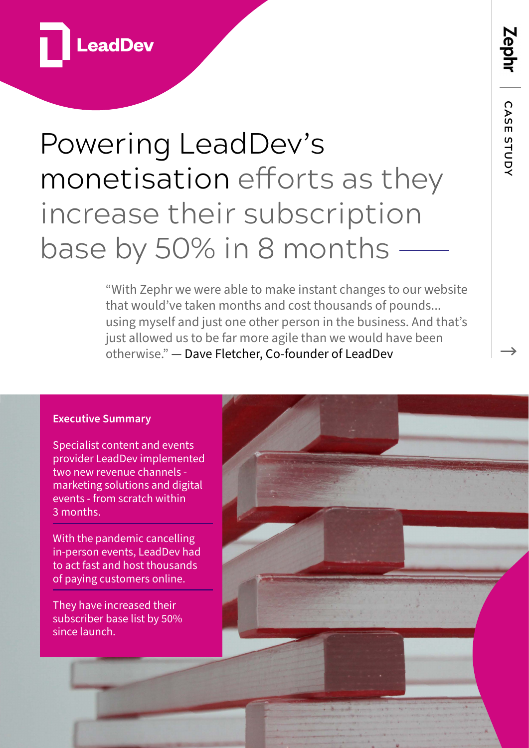

# Powering LeadDev's monetisation efforts as they increase their subscription base by 50% in 8 months

"With Zephr we were able to make instant changes to our website that would've taken months and cost thousands of pounds... using myself and just one other person in the business. And that's just allowed us to be far more agile than we would have been otherwise." — Dave Fletcher, Co-founder of LeadDev

#### **Executive Summary**

Specialist content and events provider LeadDev implemented two new revenue channels marketing solutions and digital events - from scratch within 3 months.

With the pandemic cancelling in-person events, LeadDev had to act fast and host thousands of paying customers online.

They have increased their subscriber base list by 50% since launch.

 **CASE STUDY**CASE STUDY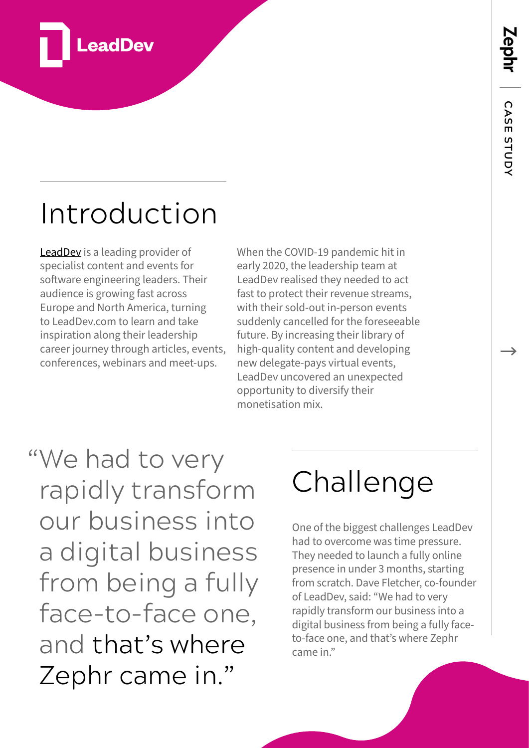Zephr



# Introduction

[LeadDev](https://leaddev.com/) is a leading provider of specialist content and events for software engineering leaders. Their audience is growing fast across Europe and North America, turning to LeadDev.com to learn and take inspiration along their leadership career journey through articles, events, conferences, webinars and meet-ups.

When the COVID-19 pandemic hit in early 2020, the leadership team at LeadDev realised they needed to act fast to protect their revenue streams, with their sold-out in-person events suddenly cancelled for the foreseeable future. By increasing their library of high-quality content and developing new delegate-pays virtual events, LeadDev uncovered an unexpected opportunity to diversify their monetisation mix.

"We had to very rapidly transform our business into a digital business from being a fully face-to-face one, and that's where Zephr came in."

# Challenge

One of the biggest challenges LeadDev had to overcome was time pressure. They needed to launch a fully online presence in under 3 months, starting from scratch. Dave Fletcher, co-founder of LeadDev, said: "We had to very rapidly transform our business into a digital business from being a fully faceto-face one, and that's where Zephr came in."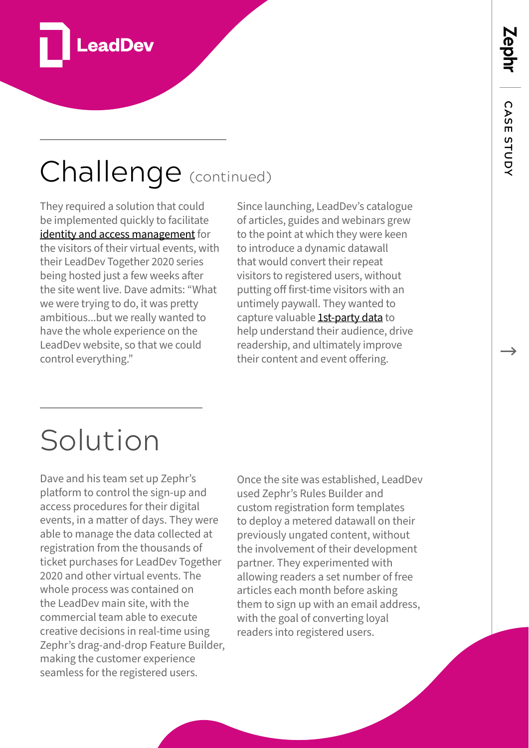

## Challenge (continued)

They required a solution that could be implemented quickly to facilitate [identity and access management](https://www.zephr.com/solutions/identity-access-management) for the visitors of their virtual events, with their LeadDev Together 2020 series being hosted just a few weeks after the site went live. Dave admits: "What we were trying to do, it was pretty ambitious...but we really wanted to have the whole experience on the LeadDev website, so that we could control everything."

Since launching, LeadDev's catalogue of articles, guides and webinars grew to the point at which they were keen to introduce a dynamic datawall that would convert their repeat visitors to registered users, without putting off first-time visitors with an untimely paywall. They wanted to capture valuable [1st-party data](https://www.zephr.com/solutions/first-party-data-strategies) to help understand their audience, drive readership, and ultimately improve their content and event offering.

### Solution

Dave and his team set up Zephr's platform to control the sign-up and access procedures for their digital events, in a matter of days. They were able to manage the data collected at registration from the thousands of ticket purchases for LeadDev Together 2020 and other virtual events. The whole process was contained on the LeadDev main site, with the commercial team able to execute creative decisions in real-time using Zephr's drag-and-drop Feature Builder, making the customer experience seamless for the registered users.

Once the site was established, LeadDev used Zephr's Rules Builder and custom registration form templates to deploy a metered datawall on their previously ungated content, without the involvement of their development partner. They experimented with allowing readers a set number of free articles each month before asking them to sign up with an email address, with the goal of converting loyal readers into registered users.